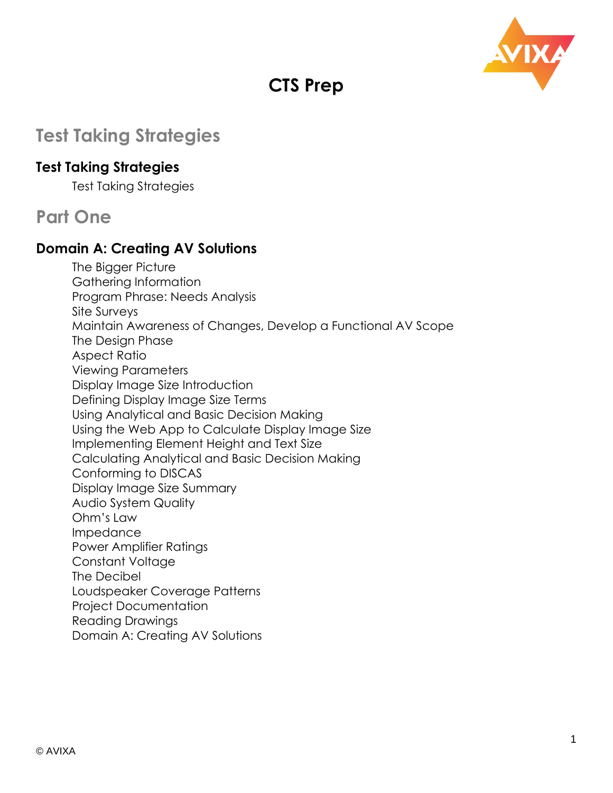

# **CTS Prep**

# **Test Taking Strategies**

#### **Test Taking Strategies**

Test Taking Strategies

### **Part One**

#### **Domain A: Creating AV Solutions**

The Bigger Picture Gathering Information Program Phrase: Needs Analysis Site Surveys Maintain Awareness of Changes, Develop a Functional AV Scope The Design Phase Aspect Ratio Viewing Parameters Display Image Size Introduction Defining Display Image Size Terms Using Analytical and Basic Decision Making Using the Web App to Calculate Display Image Size Implementing Element Height and Text Size Calculating Analytical and Basic Decision Making Conforming to DISCAS Display Image Size Summary Audio System Quality Ohm's Law Impedance Power Amplifier Ratings Constant Voltage The Decibel Loudspeaker Coverage Patterns Project Documentation Reading Drawings Domain A: Creating AV Solutions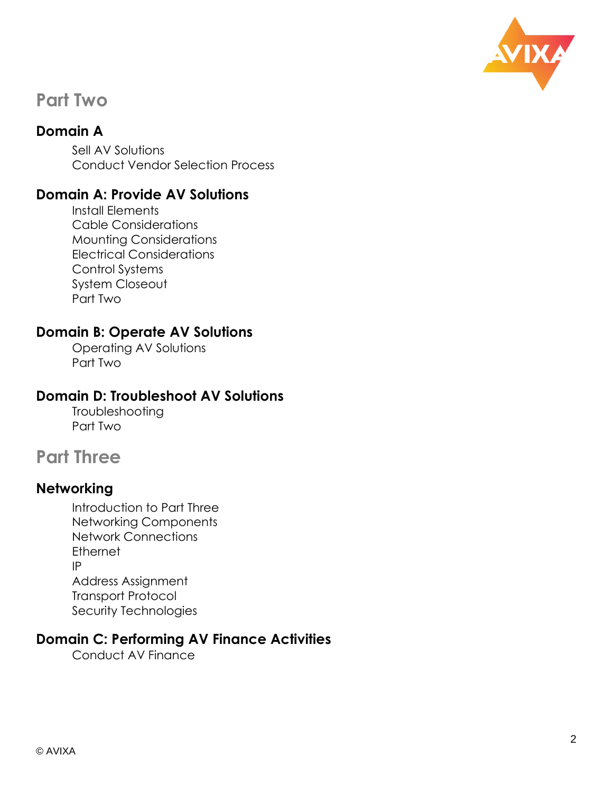

### **Part Two**

#### **Domain A**

Sell AV Solutions Conduct Vendor Selection Process

#### **Domain A: Provide AV Solutions**

Install Elements Cable Considerations Mounting Considerations Electrical Considerations Control Systems System Closeout Part Two

#### **Domain B: Operate AV Solutions**

Operating AV Solutions Part Two

#### **Domain D: Troubleshoot AV Solutions**

Troubleshooting Part Two

## **Part Three**

#### **Networking**

Introduction to Part Three Networking Components Network Connections **Ethernet** IP Address Assignment Transport Protocol Security Technologies

#### **Domain C: Performing AV Finance Activities**

Conduct AV Finance